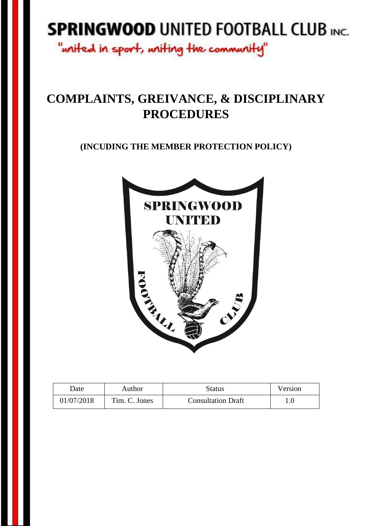# **SPRINGWOOD UNITED FOOTBALL CLUB INC.**

"writed in sport, writing the community"

## **COMPLAINTS, GREIVANCE, & DISCIPLINARY PROCEDURES**

**(INCUDING THE MEMBER PROTECTION POLICY)**



| Date       | Author        | Status                    | Version |
|------------|---------------|---------------------------|---------|
| 01/07/2018 | Tim. C. Jones | <b>Consultation Draft</b> |         |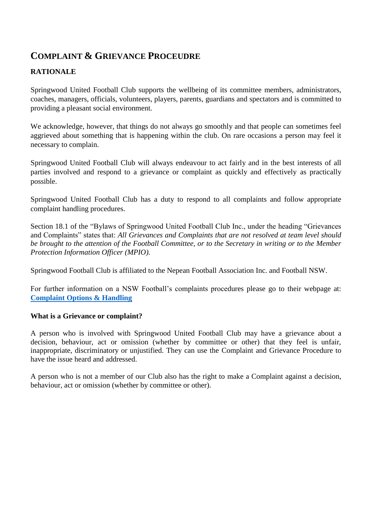### **COMPLAINT & GRIEVANCE PROCEUDRE**

#### **RATIONALE**

Springwood United Football Club supports the wellbeing of its committee members, administrators, coaches, managers, officials, volunteers, players, parents, guardians and spectators and is committed to providing a pleasant social environment.

We acknowledge, however, that things do not always go smoothly and that people can sometimes feel aggrieved about something that is happening within the club. On rare occasions a person may feel it necessary to complain.

Springwood United Football Club will always endeavour to act fairly and in the best interests of all parties involved and respond to a grievance or complaint as quickly and effectively as practically possible.

Springwood United Football Club has a duty to respond to all complaints and follow appropriate complaint handling procedures.

Section 18.1 of the "Bylaws of Springwood United Football Club Inc., under the heading "Grievances and Complaints" states that: *All Grievances and Complaints that are not resolved at team level should be brought to the attention of the Football Committee, or to the Secretary in writing or to the Member Protection Information Officer (MPIO).*

Springwood Football Club is affiliated to the Nepean Football Association Inc. and Football NSW.

For further information on a NSW Football's complaints procedures please go to their webpage at: **[Complaint Options & Handling](https://footballnsw.com.au/protection-and-safety/complaint-options-handling/)**

#### **What is a Grievance or complaint?**

A person who is involved with Springwood United Football Club may have a grievance about a decision, behaviour, act or omission (whether by committee or other) that they feel is unfair, inappropriate, discriminatory or unjustified. They can use the Complaint and Grievance Procedure to have the issue heard and addressed.

A person who is not a member of our Club also has the right to make a Complaint against a decision, behaviour, act or omission (whether by committee or other).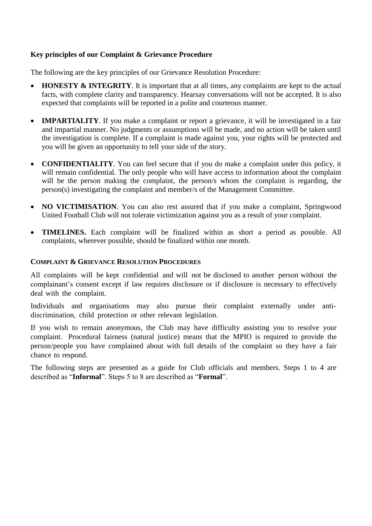#### **Key principles of our Complaint & Grievance Procedure**

The following are the key principles of our Grievance Resolution Procedure:

- **HONESTY & INTEGRITY**. It is important that at all times, any complaints are kept to the actual facts, with complete clarity and transparency. Hearsay conversations will not be accepted. It is also expected that complaints will be reported in a polite and courteous manner.
- **IMPARTIALITY**. If you make a complaint or report a grievance, it will be investigated in a fair and impartial manner. No judgments or assumptions will be made, and no action will be taken until the investigation is complete. If a complaint is made against you, your rights will be protected and you will be given an opportunity to tell your side of the story.
- **CONFIDENTIALITY**. You can feel secure that if you do make a complaint under this policy, it will remain confidential. The only people who will have access to information about the complaint will be the person making the complaint, the person/s whom the complaint is regarding, the person(s) investigating the complaint and member/s of the Management Committee.
- NO VICTIMISATION. You can also rest assured that if you make a complaint, Springwood United Football Club will not tolerate victimization against you as a result of your complaint.
- **TIMELINES.** Each complaint will be finalized within as short a period as possible. All complaints, wherever possible, should be finalized within one month.

#### **COMPLAINT & GRIEVANCE RESOLUTION PROCEDURES**

All complaints will be kept confidential and will not be disclosed to another person without the complainant's consent except if law requires disclosure or if disclosure is necessary to effectively deal with the complaint.

Individuals and organisations may also pursue their complaint externally under antidiscrimination, child protection or other relevant legislation.

If you wish to remain anonymous, the Club may have difficulty assisting you to resolve your complaint. Procedural fairness (natural justice) means that the MPIO is required to provide the person/people you have complained about with full details of the complaint so they have a fair chance to respond.

The following steps are presented as a guide for Club officials and members. Steps 1 to 4 are described as "**Informal**". Steps 5 to 8 are described as "**Formal**".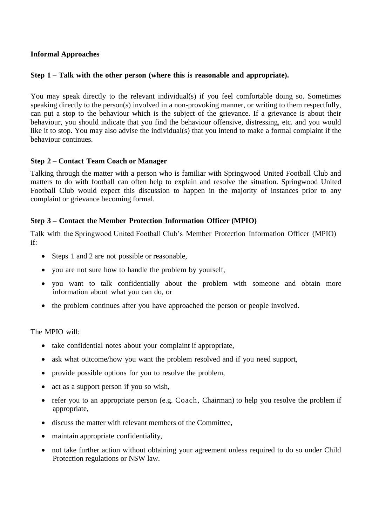#### **Informal Approaches**

#### **Step 1 – Talk with the other person (where this is reasonable and appropriate).**

You may speak directly to the relevant individual(s) if you feel comfortable doing so. Sometimes speaking directly to the person(s) involved in a non-provoking manner, or writing to them respectfully, can put a stop to the behaviour which is the subject of the grievance. If a grievance is about their behaviour, you should indicate that you find the behaviour offensive, distressing, etc. and you would like it to stop. You may also advise the individual(s) that you intend to make a formal complaint if the behaviour continues.

#### **Step 2 – Contact Team Coach or Manager**

Talking through the matter with a person who is familiar with Springwood United Football Club and matters to do with football can often help to explain and resolve the situation. Springwood United Football Club would expect this discussion to happen in the majority of instances prior to any complaint or grievance becoming formal.

#### **Step 3 – Contact the Member Protection Information Officer (MPIO)**

Talk with the Springwood United Football Club's Member Protection Information Officer (MPIO) if:

- Steps 1 and 2 are not possible or reasonable,
- you are not sure how to handle the problem by yourself,
- you want to talk confidentially about the problem with someone and obtain more information about what you can do, or
- the problem continues after you have approached the person or people involved.

The MPIO will:

- take confidential notes about your complaint if appropriate,
- ask what outcome/how you want the problem resolved and if you need support,
- provide possible options for you to resolve the problem,
- act as a support person if you so wish,
- refer you to an appropriate person (e.g. Coach, Chairman) to help you resolve the problem if appropriate,
- discuss the matter with relevant members of the Committee,
- maintain appropriate confidentiality,
- not take further action without obtaining your agreement unless required to do so under Child Protection regulations or NSW law.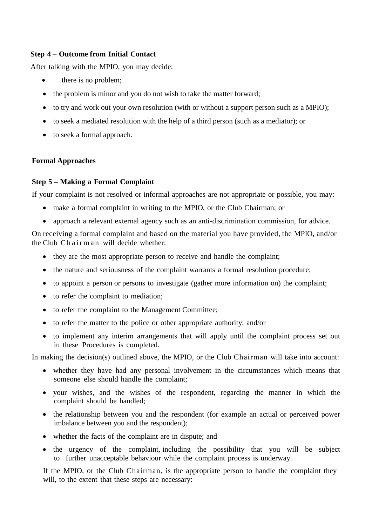#### **Step 4 – Outcome from Initial Contact**

After talking with the MPIO, you may decide:

- there is no problem;
- the problem is minor and you do not wish to take the matter forward;
- to try and work out your own resolution (with or without a support person such as a MPIO);
- to seek a mediated resolution with the help of a third person (such as a mediator); or
- to seek a formal approach.

#### **Formal Approaches**

#### **Step 5 – Making a Formal Complaint**

If your complaint is not resolved or informal approaches are not appropriate or possible, you may:

- make a formal complaint in writing to the MPIO, or the Club Chairman; or
- approach a relevant external agency such as an anti-discrimination commission, for advice.

On receiving a formal complaint and based on the material you have provided, the MPIO, and/or the Club Chairman will decide whether:

- they are the most appropriate person to receive and handle the complaint;
- the nature and seriousness of the complaint warrants a formal resolution procedure;
- to appoint a person or persons to investigate (gather more information on) the complaint;
- to refer the complaint to mediation;
- to refer the complaint to the Management Committee;
- to refer the matter to the police or other appropriate authority; and/or
- to implement any interim arrangements that will apply until the complaint process set out in these Procedures is completed.

In making the decision(s) outlined above, the MPIO, or the Club Chairman will take into account:

- whether they have had any personal involvement in the circumstances which means that someone else should handle the complaint;
- your wishes, and the wishes of the respondent, regarding the manner in which the complaint should be handled;
- the relationship between you and the respondent (for example an actual or perceived power imbalance between you and the respondent);
- whether the facts of the complaint are in dispute; and
- the urgency of the complaint, including the possibility that you will be subject to further unacceptable behaviour while the complaint process is underway.

If the MPIO, or the Club Chairman, is the appropriate person to handle the complaint they will, to the extent that these steps are necessary: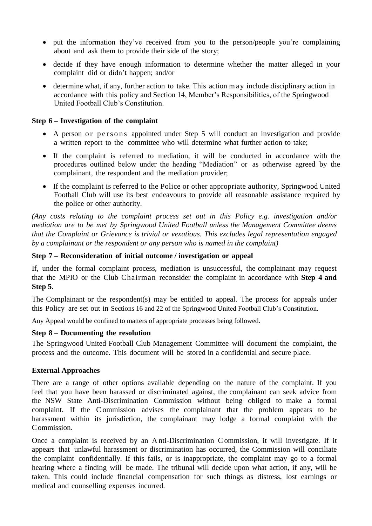- put the information they've received from you to the person/people you're complaining about and ask them to provide their side of the story;
- decide if they have enough information to determine whether the matter alleged in your complaint did or didn't happen; and/or
- determine what, if any, further action to take. This action may include disciplinary action in accordance with this policy and Section 14, Member's Responsibilities, of the Springwood United Football Club's Constitution.

#### **Step 6 – Investigation of the complaint**

- A person or persons appointed under Step 5 will conduct an investigation and provide a written report to the committee who will determine what further action to take;
- If the complaint is referred to mediation, it will be conducted in accordance with the procedures outlined below under the heading "Mediation" or as otherwise agreed by the complainant, the respondent and the mediation provider;
- If the complaint is referred to the Police or other appropriate authority, Springwood United Football Club will use its best endeavours to provide all reasonable assistance required by the police or other authority.

*(Any costs relating to the complaint process set out in this Policy e.g. investigation and/or mediation are to be met by Springwood United Football unless the Management Committee deems that the Complaint or Grievance is trivial or vexatious. This excludes legal representation engaged by a complainant or the respondent or any person who is named in the complaint)*

#### **Step 7 – Reconsideration of initial outcome / investigation or appeal**

If, under the formal complaint process, mediation is unsuccessful, the complainant may request that the MPIO or the Club Chairman reconsider the complaint in accordance with **Step 4 and Step 5**.

The Complainant or the respondent(s) may be entitled to appeal. The process for appeals under this Policy are set out in Sections 16 and 22 of the Springwood United Football Club's Constitution.

Any Appeal would be confined to matters of appropriate processes being followed.

#### **Step 8 – Documenting the resolution**

The Springwood United Football Club Management Committee will document the complaint, the process and the outcome. This document will be stored in a confidential and secure place.

#### **External Approaches**

There are a range of other options available depending on the nature of the complaint. If you feel that you have been harassed or discriminated against, the complainant can seek advice from the NSW State Anti-Discrimination Commission without being obliged to make a formal complaint. If the C ommission advises the complainant that the problem appears to be harassment within its jurisdiction, the complainant may lodge a formal complaint with the Commission.

Once a complaint is received by an A nti-Discrimination C ommission, it will investigate. If it appears that unlawful harassment or discrimination has occurred, the Commission will conciliate the complaint confidentially. If this fails, or is inappropriate, the complaint may go to a formal hearing where a finding will be made. The tribunal will decide upon what action, if any, will be taken. This could include financial compensation for such things as distress, lost earnings or medical and counselling expenses incurred.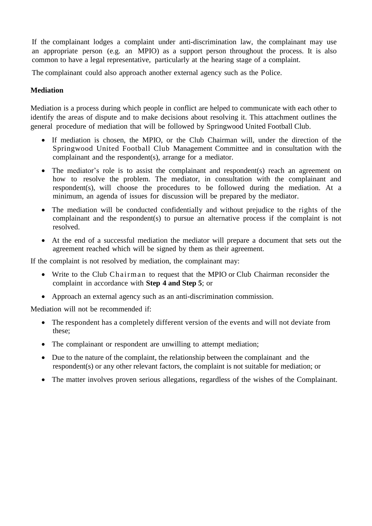If the complainant lodges a complaint under anti-discrimination law, the complainant may use an appropriate person (e.g. an MPIO) as a support person throughout the process. It is also common to have a legal representative, particularly at the hearing stage of a complaint.

The complainant could also approach another external agency such as the Police.

#### **Mediation**

Mediation is a process during which people in conflict are helped to communicate with each other to identify the areas of dispute and to make decisions about resolving it. This attachment outlines the general procedure of mediation that will be followed by Springwood United Football Club.

- If mediation is chosen, the MPIO, or the Club Chairman will, under the direction of the Springwood United Football Club Management Committee and in consultation with the complainant and the respondent(s), arrange for a mediator.
- The mediator's role is to assist the complainant and respondent(s) reach an agreement on how to resolve the problem. The mediator, in consultation with the complainant and respondent(s), will choose the procedures to be followed during the mediation. At a minimum, an agenda of issues for discussion will be prepared by the mediator.
- The mediation will be conducted confidentially and without prejudice to the rights of the complainant and the respondent(s) to pursue an alternative process if the complaint is not resolved.
- At the end of a successful mediation the mediator will prepare a document that sets out the agreement reached which will be signed by them as their agreement.

If the complaint is not resolved by mediation, the complainant may:

- Write to the Club Chairman to request that the MPIO or Club Chairman reconsider the complaint in accordance with **Step 4 and Step 5**; or
- Approach an external agency such as an anti-discrimination commission.

Mediation will not be recommended if:

- The respondent has a completely different version of the events and will not deviate from these;
- The complainant or respondent are unwilling to attempt mediation;
- Due to the nature of the complaint, the relationship between the complainant and the respondent(s) or any other relevant factors, the complaint is not suitable for mediation; or
- The matter involves proven serious allegations, regardless of the wishes of the Complainant.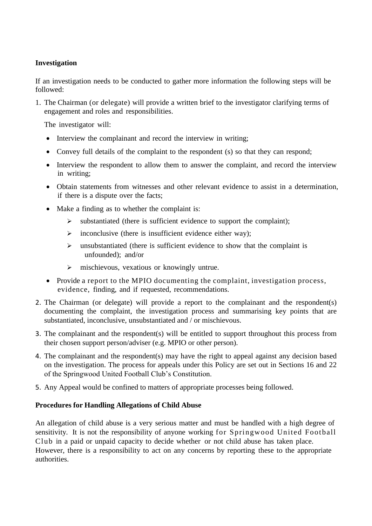#### **Investigation**

If an investigation needs to be conducted to gather more information the following steps will be followed:

1. The Chairman (or delegate) will provide a written brief to the investigator clarifying terms of engagement and roles and responsibilities.

The investigator will:

- Interview the complainant and record the interview in writing;
- Convey full details of the complaint to the respondent (s) so that they can respond;
- Interview the respondent to allow them to answer the complaint, and record the interview in writing;
- Obtain statements from witnesses and other relevant evidence to assist in a determination, if there is a dispute over the facts;
- Make a finding as to whether the complaint is:
	- substantiated (there is sufficient evidence to support the complaint);
	- $\triangleright$  inconclusive (there is insufficient evidence either way);
	- $\triangleright$  unsubstantiated (there is sufficient evidence to show that the complaint is unfounded); and/or
	- mischievous, vexatious or knowingly untrue.
- Provide a report to the MPIO documenting the complaint, investigation process, evidence, finding, and if requested, recommendations.
- 2. The Chairman (or delegate) will provide a report to the complainant and the respondent(s) documenting the complaint, the investigation process and summarising key points that are substantiated, inconclusive, unsubstantiated and / or mischievous.
- 3. The complainant and the respondent(s) will be entitled to support throughout this process from their chosen support person/adviser (e.g. MPIO or other person).
- 4. The complainant and the respondent(s) may have the right to appeal against any decision based on the investigation. The process for appeals under this Policy are set out in Sections 16 and 22 of the Springwood United Football Club's Constitution.
- 5. Any Appeal would be confined to matters of appropriate processes being followed.

#### **Procedures for Handling Allegations of Child Abuse**

An allegation of child abuse is a very serious matter and must be handled with a high degree of sensitivity. It is not the responsibility of anyone working for Springwood United Football Club in a paid or unpaid capacity to decide whether or not child abuse has taken place. However, there is a responsibility to act on any concerns by reporting these to the appropriate authorities.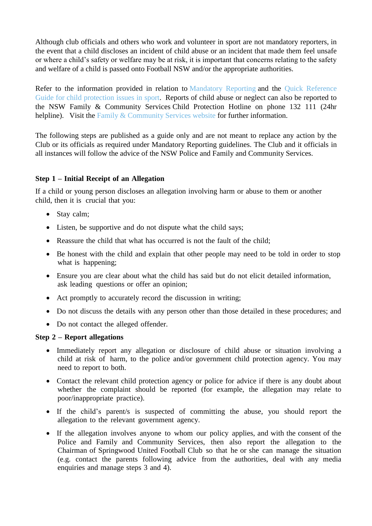Although club officials and others who work and volunteer in sport are not mandatory reporters, in the event that a child discloses an incident of child abuse or an incident that made them feel unsafe or where a child's safety or welfare may be at risk, it is important that concerns relating to the safety and welfare of a child is passed onto Football NSW and/or the appropriate authorities.

Refer to the information provided in relation to [Mandatory Reporting](https://www.playbytherules.net.au/got-an-issue/child-protection/child-protection-laws-explained/mandatory-reporting) and the [Quick Reference](http://play-by-the-rules.s3.amazonaws.com/Resources/R001_QRG.pdf) [Guide for child protection issues in sport.](http://play-by-the-rules.s3.amazonaws.com/Resources/R001_QRG.pdf) Reports of child abuse or neglect can also be reported to the NSW Family & Community Services Child Protection Hotline on phone 132 111 (24hr helpline). Visit the [Family & Community Services website](http://www.community.nsw.gov.au/preventing-child-abuse-and-neglect/reporting-suspected-abuse-or-neglect) for further information.

The following steps are published as a guide only and are not meant to replace any action by the Club or its officials as required under Mandatory Reporting guidelines. The Club and it officials in all instances will follow the advice of the NSW Police and Family and Community Services.

#### **Step 1 – Initial Receipt of an Allegation**

If a child or young person discloses an allegation involving harm or abuse to them or another child, then it is crucial that you:

- Stay calm;
- Listen, be supportive and do not dispute what the child says;
- Reassure the child that what has occurred is not the fault of the child;
- Be honest with the child and explain that other people may need to be told in order to stop what is happening;
- Ensure you are clear about what the child has said but do not elicit detailed information, ask leading questions or offer an opinion;
- Act promptly to accurately record the discussion in writing;
- Do not discuss the details with any person other than those detailed in these procedures; and
- Do not contact the alleged offender.

#### **Step 2 – Report allegations**

- Immediately report any allegation or disclosure of child abuse or situation involving a child at risk of harm, to the police and/or government child protection agency. You may need to report to both.
- Contact the relevant child protection agency or police for advice if there is any doubt about whether the complaint should be reported (for example, the allegation may relate to poor/inappropriate practice).
- If the child's parent/s is suspected of committing the abuse, you should report the allegation to the relevant government agency.
- If the allegation involves anyone to whom our policy applies, and with the consent of the Police and Family and Community Services, then also report the allegation to the Chairman of Springwood United Football Club so that he or she can manage the situation (e.g. contact the parents following advice from the authorities, deal with any media enquiries and manage steps 3 and 4).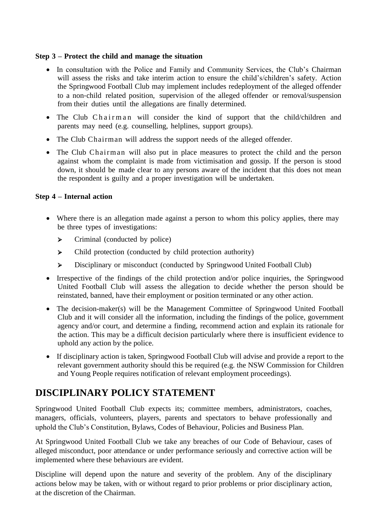#### **Step 3 – Protect the child and manage the situation**

- In consultation with the Police and Family and Community Services, the Club's Chairman will assess the risks and take interim action to ensure the child's/children's safety. Action the Springwood Football Club may implement includes redeployment of the alleged offender to a non‐child related position, supervision of the alleged offender or removal/suspension from their duties until the allegations are finally determined.
- The Club Chairman will consider the kind of support that the child/children and parents may need (e.g. counselling, helplines, support groups).
- The Club Chairman will address the support needs of the alleged offender.
- The Club Chairman will also put in place measures to protect the child and the person against whom the complaint is made from victimisation and gossip. If the person is stood down, it should be made clear to any persons aware of the incident that this does not mean the respondent is guilty and a proper investigation will be undertaken.

#### **Step 4 – Internal action**

- Where there is an allegation made against a person to whom this policy applies, there may be three types of investigations:
	- $\triangleright$  Criminal (conducted by police)
	- Child protection (conducted by child protection authority)
	- Disciplinary or misconduct (conducted by Springwood United Football Club)
- Irrespective of the findings of the child protection and/or police inquiries, the Springwood United Football Club will assess the allegation to decide whether the person should be reinstated, banned, have their employment or position terminated or any other action.
- The decision-maker(s) will be the Management Committee of Springwood United Football Club and it will consider all the information, including the findings of the police, government agency and/or court, and determine a finding, recommend action and explain its rationale for the action. This may be a difficult decision particularly where there is insufficient evidence to uphold any action by the police.
- If disciplinary action is taken, Springwood Football Club will advise and provide a report to the relevant government authority should this be required (e.g. the NSW Commission for Children and Young People requires notification of relevant employment proceedings).

## **DISCIPLINARY POLICY STATEMENT**

Springwood United Football Club expects its; committee members, administrators, coaches, managers, officials, volunteers, players, parents and spectators to behave professionally and uphold the Club's Constitution, Bylaws, Codes of Behaviour, Policies and Business Plan.

At Springwood United Football Club we take any breaches of our Code of Behaviour, cases of alleged misconduct, poor attendance or under performance seriously and corrective action will be implemented where these behaviours are evident.

Discipline will depend upon the nature and severity of the problem. Any of the disciplinary actions below may be taken, with or without regard to prior problems or prior disciplinary action, at the discretion of the Chairman.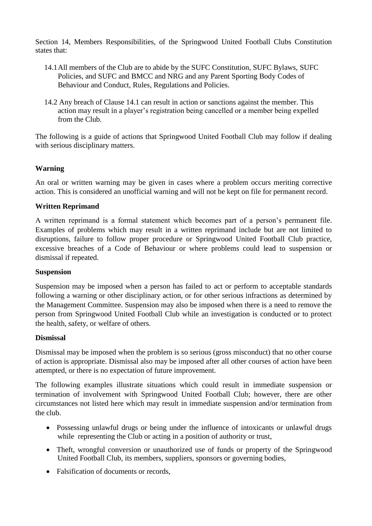Section 14, Members Responsibilities, of the Springwood United Football Clubs Constitution states that:

- 14.1All members of the Club are to abide by the SUFC Constitution, SUFC Bylaws, SUFC Policies, and SUFC and BMCC and NRG and any Parent Sporting Body Codes of Behaviour and Conduct, Rules, Regulations and Policies.
- 14.2 Any breach of Clause 14.1 can result in action or sanctions against the member. This action may result in a player's registration being cancelled or a member being expelled from the Club.

The following is a guide of actions that Springwood United Football Club may follow if dealing with serious disciplinary matters.

#### **Warning**

An oral or written warning may be given in cases where a problem occurs meriting corrective action. This is considered an unofficial warning and will not be kept on file for permanent record.

#### **Written Reprimand**

A written reprimand is a formal statement which becomes part of a person's permanent file. Examples of problems which may result in a written reprimand include but are not limited to disruptions, failure to follow proper procedure or Springwood United Football Club practice, excessive breaches of a Code of Behaviour or where problems could lead to suspension or dismissal if repeated.

#### **Suspension**

Suspension may be imposed when a person has failed to act or perform to acceptable standards following a warning or other disciplinary action, or for other serious infractions as determined by the Management Committee. Suspension may also be imposed when there is a need to remove the person from Springwood United Football Club while an investigation is conducted or to protect the health, safety, or welfare of others.

#### **Dismissal**

Dismissal may be imposed when the problem is so serious (gross misconduct) that no other course of action is appropriate. Dismissal also may be imposed after all other courses of action have been attempted, or there is no expectation of future improvement.

The following examples illustrate situations which could result in immediate suspension or termination of involvement with Springwood United Football Club; however, there are other circumstances not listed here which may result in immediate suspension and/or termination from the club.

- Possessing unlawful drugs or being under the influence of intoxicants or unlawful drugs while representing the Club or acting in a position of authority or trust,
- Theft, wrongful conversion or unauthorized use of funds or property of the Springwood United Football Club, its members, suppliers, sponsors or governing bodies,
- Falsification of documents or records.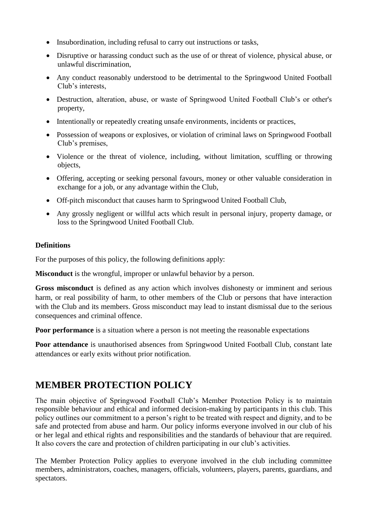- Insubordination, including refusal to carry out instructions or tasks,
- Disruptive or harassing conduct such as the use of or threat of violence, physical abuse, or unlawful discrimination,
- Any conduct reasonably understood to be detrimental to the Springwood United Football Club's interests,
- Destruction, alteration, abuse, or waste of Springwood United Football Club's or other's property,
- Intentionally or repeatedly creating unsafe environments, incidents or practices,
- Possession of weapons or explosives, or violation of criminal laws on Springwood Football Club's premises,
- Violence or the threat of violence, including, without limitation, scuffling or throwing objects,
- Offering, accepting or seeking personal favours, money or other valuable consideration in exchange for a job, or any advantage within the Club,
- Off-pitch misconduct that causes harm to Springwood United Football Club,
- Any grossly negligent or willful acts which result in personal injury, property damage, or loss to the Springwood United Football Club.

#### **Definitions**

For the purposes of this policy, the following definitions apply:

**Misconduct** is the wrongful, improper or unlawful behavior by a person.

**Gross misconduct** is defined as any action which involves dishonesty or imminent and serious harm, or real possibility of harm, to other members of the Club or persons that have interaction with the Club and its members. Gross misconduct may lead to instant dismissal due to the serious consequences and criminal offence.

**Poor performance** is a situation where a person is not meeting the reasonable expectations

Poor attendance is unauthorised absences from Springwood United Football Club, constant late attendances or early exits without prior notification.

## **MEMBER PROTECTION POLICY**

The main objective of Springwood Football Club's Member Protection Policy is to maintain responsible behaviour and ethical and informed decision-making by participants in this club. This policy outlines our commitment to a person's right to be treated with respect and dignity, and to be safe and protected from abuse and harm. Our policy informs everyone involved in our club of his or her legal and ethical rights and responsibilities and the standards of behaviour that are required. It also covers the care and protection of children participating in our club's activities.

The Member Protection Policy applies to everyone involved in the club including committee members, administrators, coaches, managers, officials, volunteers, players, parents, guardians, and spectators.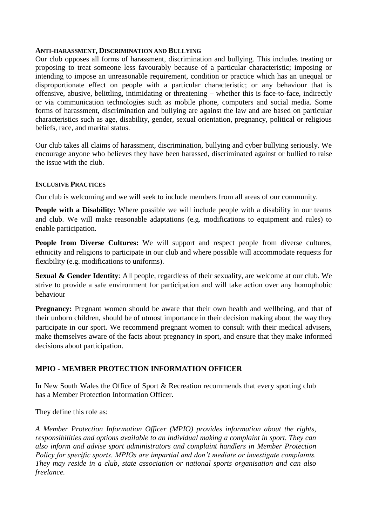#### **ANTI-HARASSMENT, DISCRIMINATION AND BULLYING**

Our club opposes all forms of harassment, discrimination and bullying. This includes treating or proposing to treat someone less favourably because of a particular characteristic; imposing or intending to impose an unreasonable requirement, condition or practice which has an unequal or disproportionate effect on people with a particular characteristic; or any behaviour that is offensive, abusive, belittling, intimidating or threatening – whether this is face-to-face, indirectly or via communication technologies such as mobile phone, computers and social media. Some forms of harassment, discrimination and bullying are against the law and are based on particular characteristics such as age, disability, gender, sexual orientation, pregnancy, political or religious beliefs, race, and marital status.

Our club takes all claims of harassment, discrimination, bullying and cyber bullying seriously. We encourage anyone who believes they have been harassed, discriminated against or bullied to raise the issue with the club.

#### **INCLUSIVE PRACTICES**

Our club is welcoming and we will seek to include members from all areas of our community.

**People with a Disability:** Where possible we will include people with a disability in our teams and club. We will make reasonable adaptations (e.g. modifications to equipment and rules) to enable participation.

**People from Diverse Cultures:** We will support and respect people from diverse cultures, ethnicity and religions to participate in our club and where possible will accommodate requests for flexibility (e.g. modifications to uniforms).

**Sexual & Gender Identity**: All people, regardless of their sexuality, are welcome at our club. We strive to provide a safe environment for participation and will take action over any homophobic behaviour

**Pregnancy:** Pregnant women should be aware that their own health and wellbeing, and that of their unborn children, should be of utmost importance in their decision making about the way they participate in our sport. We recommend pregnant women to consult with their medical advisers, make themselves aware of the facts about pregnancy in sport, and ensure that they make informed decisions about participation.

#### **MPIO - MEMBER PROTECTION INFORMATION OFFICER**

In New South Wales the Office of Sport & Recreation recommends that every sporting club has a Member Protection Information Officer.

They define this role as:

*A Member Protection Information Officer (MPIO) provides information about the rights, responsibilities and options available to an individual making a complaint in sport. They can also inform and advise sport administrators and complaint handlers in Member Protection Policy for specific sports. MPIOs are impartial and don't mediate or investigate complaints. They may reside in a club, state association or national sports organisation and can also freelance.*